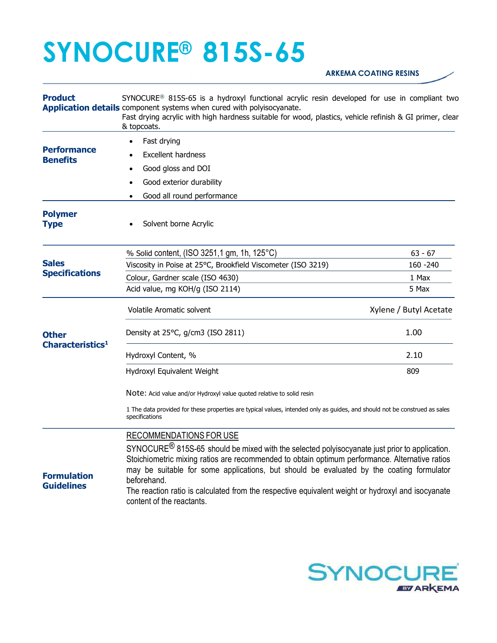## SYNOCURE® 815S-65

## ARKEMA COATING RESINS

| <b>Product</b>                                                                        | SYNOCURE <sup>®</sup> 815S-65 is a hydroxyl functional acrylic resin developed for use in compliant two<br>Application details component systems when cured with polyisocyanate.<br>Fast drying acrylic with high hardness suitable for wood, plastics, vehicle refinish & GI primer, clear<br>& topcoats.                                                                                                                                                                          |                        |  |
|---------------------------------------------------------------------------------------|-------------------------------------------------------------------------------------------------------------------------------------------------------------------------------------------------------------------------------------------------------------------------------------------------------------------------------------------------------------------------------------------------------------------------------------------------------------------------------------|------------------------|--|
| <b>Performance</b><br><b>Benefits</b>                                                 | Fast drying                                                                                                                                                                                                                                                                                                                                                                                                                                                                         |                        |  |
|                                                                                       | <b>Excellent hardness</b>                                                                                                                                                                                                                                                                                                                                                                                                                                                           |                        |  |
|                                                                                       | Good gloss and DOI<br>$\bullet$                                                                                                                                                                                                                                                                                                                                                                                                                                                     |                        |  |
|                                                                                       | Good exterior durability                                                                                                                                                                                                                                                                                                                                                                                                                                                            |                        |  |
|                                                                                       | Good all round performance<br>٠                                                                                                                                                                                                                                                                                                                                                                                                                                                     |                        |  |
| <b>Polymer</b><br><b>Type</b>                                                         | Solvent borne Acrylic                                                                                                                                                                                                                                                                                                                                                                                                                                                               |                        |  |
| <b>Sales</b><br><b>Specifications</b><br><b>Other</b><br>Characteristics <sup>1</sup> | % Solid content, (ISO 3251,1 gm, 1h, 125°C)                                                                                                                                                                                                                                                                                                                                                                                                                                         | $63 - 67$              |  |
|                                                                                       | Viscosity in Poise at 25°C, Brookfield Viscometer (ISO 3219)                                                                                                                                                                                                                                                                                                                                                                                                                        | 160 - 240              |  |
|                                                                                       | Colour, Gardner scale (ISO 4630)                                                                                                                                                                                                                                                                                                                                                                                                                                                    | 1 Max                  |  |
|                                                                                       | Acid value, mg KOH/g (ISO 2114)                                                                                                                                                                                                                                                                                                                                                                                                                                                     | 5 Max                  |  |
|                                                                                       | Volatile Aromatic solvent                                                                                                                                                                                                                                                                                                                                                                                                                                                           | Xylene / Butyl Acetate |  |
|                                                                                       | Density at 25°C, g/cm3 (ISO 2811)                                                                                                                                                                                                                                                                                                                                                                                                                                                   | 1.00                   |  |
|                                                                                       | Hydroxyl Content, %                                                                                                                                                                                                                                                                                                                                                                                                                                                                 | 2.10                   |  |
|                                                                                       | Hydroxyl Equivalent Weight                                                                                                                                                                                                                                                                                                                                                                                                                                                          | 809                    |  |
|                                                                                       | Note: Acid value and/or Hydroxyl value quoted relative to solid resin                                                                                                                                                                                                                                                                                                                                                                                                               |                        |  |
|                                                                                       | 1 The data provided for these properties are typical values, intended only as guides, and should not be construed as sales<br>specifications                                                                                                                                                                                                                                                                                                                                        |                        |  |
| <b>Formulation</b><br><b>Guidelines</b>                                               | RECOMMENDATIONS FOR USE<br>SYNOCURE <sup>®</sup> 815S-65 should be mixed with the selected polyisocyanate just prior to application.<br>Stoichiometric mixing ratios are recommended to obtain optimum performance. Alternative ratios<br>may be suitable for some applications, but should be evaluated by the coating formulator<br>beforehand.<br>The reaction ratio is calculated from the respective equivalent weight or hydroxyl and isocyanate<br>content of the reactants. |                        |  |